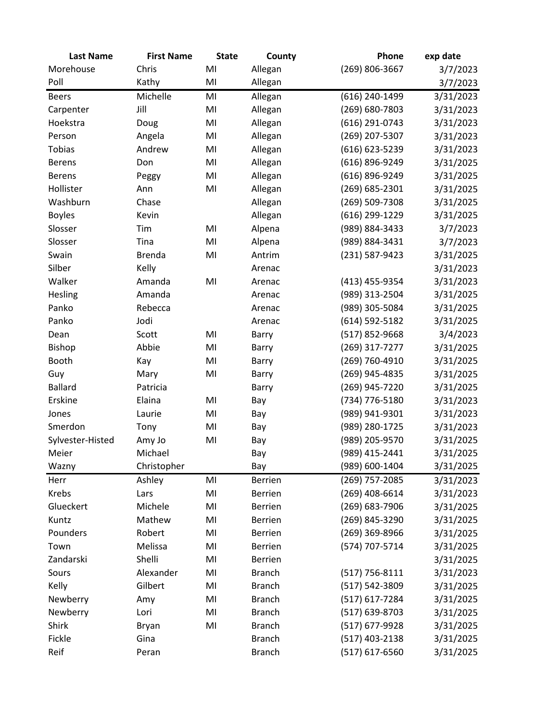| <b>Last Name</b> | <b>First Name</b> | <b>State</b> | County         | Phone              | exp date  |
|------------------|-------------------|--------------|----------------|--------------------|-----------|
| Morehouse        | Chris             | MI           | Allegan        | (269) 806-3667     | 3/7/2023  |
| Poll             | Kathy             | MI           | Allegan        |                    | 3/7/2023  |
| <b>Beers</b>     | Michelle          | MI           | Allegan        | (616) 240-1499     | 3/31/2023 |
| Carpenter        | Jill              | MI           | Allegan        | (269) 680-7803     | 3/31/2023 |
| Hoekstra         | Doug              | MI           | Allegan        | (616) 291-0743     | 3/31/2023 |
| Person           | Angela            | MI           | Allegan        | (269) 207-5307     | 3/31/2023 |
| Tobias           | Andrew            | MI           | Allegan        | (616) 623-5239     | 3/31/2023 |
| <b>Berens</b>    | Don               | MI           | Allegan        | (616) 896-9249     | 3/31/2025 |
| <b>Berens</b>    | Peggy             | MI           | Allegan        | (616) 896-9249     | 3/31/2025 |
| Hollister        | Ann               | MI           | Allegan        | (269) 685-2301     | 3/31/2025 |
| Washburn         | Chase             |              | Allegan        | (269) 509-7308     | 3/31/2025 |
| <b>Boyles</b>    | Kevin             |              | Allegan        | (616) 299-1229     | 3/31/2025 |
| Slosser          | Tim               | MI           | Alpena         | (989) 884-3433     | 3/7/2023  |
| Slosser          | Tina              | MI           | Alpena         | (989) 884-3431     | 3/7/2023  |
| Swain            | <b>Brenda</b>     | MI           | Antrim         | (231) 587-9423     | 3/31/2025 |
| Silber           | Kelly             |              | Arenac         |                    | 3/31/2023 |
| Walker           | Amanda            | MI           | Arenac         | (413) 455-9354     | 3/31/2023 |
| Hesling          | Amanda            |              | Arenac         | (989) 313-2504     | 3/31/2025 |
| Panko            | Rebecca           |              | Arenac         | (989) 305-5084     | 3/31/2025 |
| Panko            | Jodi              |              | Arenac         | $(614) 592 - 5182$ | 3/31/2025 |
| Dean             | Scott             | MI           | Barry          | (517) 852-9668     | 3/4/2023  |
| Bishop           | Abbie             | MI           | Barry          | (269) 317-7277     | 3/31/2025 |
| Booth            | Kay               | MI           | Barry          | (269) 760-4910     | 3/31/2025 |
| Guy              | Mary              | MI           | Barry          | (269) 945-4835     | 3/31/2025 |
| <b>Ballard</b>   | Patricia          |              | Barry          | (269) 945-7220     | 3/31/2025 |
| Erskine          | Elaina            | MI           | Bay            | (734) 776-5180     | 3/31/2023 |
| Jones            | Laurie            | MI           | Bay            | (989) 941-9301     | 3/31/2023 |
| Smerdon          | Tony              | MI           | Bay            | (989) 280-1725     | 3/31/2023 |
| Sylvester-Histed | Amy Jo            | MI           | Bay            | (989) 205-9570     | 3/31/2025 |
| Meier            | Michael           |              | Bay            | (989) 415-2441     | 3/31/2025 |
| Wazny            | Christopher       |              | Bay            | (989) 600-1404     | 3/31/2025 |
| Herr             | Ashley            | MI           | Berrien        | (269) 757-2085     | 3/31/2023 |
| Krebs            | Lars              | MI           | <b>Berrien</b> | (269) 408-6614     | 3/31/2023 |
| Glueckert        | Michele           | MI           | <b>Berrien</b> | (269) 683-7906     | 3/31/2025 |
| Kuntz            | Mathew            | MI           | <b>Berrien</b> | (269) 845-3290     | 3/31/2025 |
| Pounders         | Robert            | MI           | <b>Berrien</b> | (269) 369-8966     | 3/31/2025 |
| Town             | Melissa           | MI           | <b>Berrien</b> | (574) 707-5714     | 3/31/2025 |
| Zandarski        | Shelli            | MI           | <b>Berrien</b> |                    | 3/31/2025 |
| Sours            | Alexander         | MI           | <b>Branch</b>  | (517) 756-8111     | 3/31/2023 |
| Kelly            | Gilbert           | MI           | <b>Branch</b>  | (517) 542-3809     | 3/31/2025 |
| Newberry         | Amy               | MI           | <b>Branch</b>  | (517) 617-7284     | 3/31/2025 |
| Newberry         | Lori              | MI           | <b>Branch</b>  | (517) 639-8703     | 3/31/2025 |
| Shirk            | <b>Bryan</b>      | MI           | <b>Branch</b>  | (517) 677-9928     | 3/31/2025 |
| Fickle           | Gina              |              | <b>Branch</b>  | (517) 403-2138     | 3/31/2025 |
| Reif             | Peran             |              | <b>Branch</b>  | $(517) 617 - 6560$ | 3/31/2025 |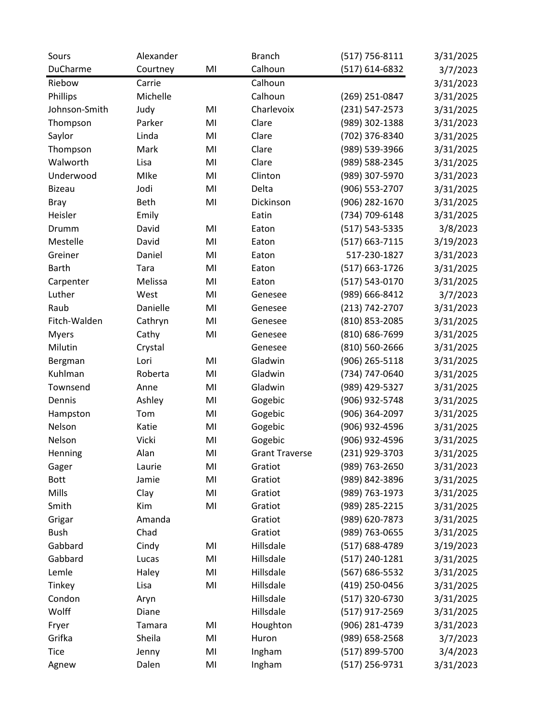| Sours         | Alexander   |    | <b>Branch</b>         | $(517) 756 - 8111$ | 3/31/2025 |
|---------------|-------------|----|-----------------------|--------------------|-----------|
| DuCharme      | Courtney    | MI | Calhoun               | (517) 614-6832     | 3/7/2023  |
| Riebow        | Carrie      |    | Calhoun               |                    | 3/31/2023 |
| Phillips      | Michelle    |    | Calhoun               | (269) 251-0847     | 3/31/2025 |
| Johnson-Smith | Judy        | MI | Charlevoix            | (231) 547-2573     | 3/31/2025 |
| Thompson      | Parker      | MI | Clare                 | (989) 302-1388     | 3/31/2023 |
| Saylor        | Linda       | MI | Clare                 | (702) 376-8340     | 3/31/2025 |
| Thompson      | Mark        | MI | Clare                 | (989) 539-3966     | 3/31/2025 |
| Walworth      | Lisa        | MI | Clare                 | (989) 588-2345     | 3/31/2025 |
| Underwood     | Mlke        | MI | Clinton               | (989) 307-5970     | 3/31/2023 |
| <b>Bizeau</b> | Jodi        | MI | Delta                 | (906) 553-2707     | 3/31/2025 |
| <b>Bray</b>   | Beth        | MI | Dickinson             | (906) 282-1670     | 3/31/2025 |
| Heisler       | Emily       |    | Eatin                 | (734) 709-6148     | 3/31/2025 |
| Drumm         | David       | MI | Eaton                 | (517) 543-5335     | 3/8/2023  |
| Mestelle      | David       | MI | Eaton                 | (517) 663-7115     | 3/19/2023 |
| Greiner       | Daniel      | MI | Eaton                 | 517-230-1827       | 3/31/2023 |
| <b>Barth</b>  | <b>Tara</b> | MI | Eaton                 | (517) 663-1726     | 3/31/2025 |
| Carpenter     | Melissa     | MI | Eaton                 | (517) 543-0170     | 3/31/2025 |
| Luther        | West        | MI | Genesee               | (989) 666-8412     | 3/7/2023  |
| Raub          | Danielle    | MI | Genesee               | (213) 742-2707     | 3/31/2023 |
| Fitch-Walden  | Cathryn     | MI | Genesee               | (810) 853-2085     | 3/31/2025 |
| <b>Myers</b>  | Cathy       | MI | Genesee               | (810) 686-7699     | 3/31/2025 |
| Milutin       | Crystal     |    | Genesee               | (810) 560-2666     | 3/31/2025 |
| Bergman       | Lori        | MI | Gladwin               | (906) 265-5118     | 3/31/2025 |
| Kuhlman       | Roberta     | MI | Gladwin               | (734) 747-0640     | 3/31/2025 |
| Townsend      | Anne        | MI | Gladwin               | (989) 429-5327     | 3/31/2025 |
| Dennis        | Ashley      | MI | Gogebic               | (906) 932-5748     | 3/31/2025 |
| Hampston      | Tom         | MI | Gogebic               | (906) 364-2097     | 3/31/2025 |
| Nelson        | Katie       | MI | Gogebic               | (906) 932-4596     | 3/31/2025 |
| Nelson        | Vicki       | MI | Gogebic               | (906) 932-4596     | 3/31/2025 |
| Henning       | Alan        | MI | <b>Grant Traverse</b> | (231) 929-3703     | 3/31/2025 |
| Gager         | Laurie      | MI | Gratiot               | (989) 763-2650     | 3/31/2023 |
| <b>Bott</b>   | Jamie       | MI | Gratiot               | (989) 842-3896     | 3/31/2025 |
| Mills         | Clay        | MI | Gratiot               | (989) 763-1973     | 3/31/2025 |
| Smith         | Kim         | MI | Gratiot               | (989) 285-2215     | 3/31/2025 |
| Grigar        | Amanda      |    | Gratiot               | (989) 620-7873     | 3/31/2025 |
| <b>Bush</b>   | Chad        |    | Gratiot               | (989) 763-0655     | 3/31/2025 |
| Gabbard       | Cindy       | MI | Hillsdale             | (517) 688-4789     | 3/19/2023 |
| Gabbard       | Lucas       | MI | Hillsdale             | (517) 240-1281     | 3/31/2025 |
| Lemle         | Haley       | MI | Hillsdale             | (567) 686-5532     | 3/31/2025 |
| Tinkey        | Lisa        | MI | Hillsdale             | (419) 250-0456     | 3/31/2025 |
| Condon        | Aryn        |    | Hillsdale             | (517) 320-6730     | 3/31/2025 |
| Wolff         | Diane       |    | Hillsdale             | (517) 917-2569     | 3/31/2025 |
| Fryer         | Tamara      | MI | Houghton              | (906) 281-4739     | 3/31/2023 |
| Grifka        | Sheila      | MI | Huron                 | (989) 658-2568     | 3/7/2023  |
| <b>Tice</b>   | Jenny       | MI | Ingham                | (517) 899-5700     | 3/4/2023  |
| Agnew         | Dalen       | MI | Ingham                | (517) 256-9731     | 3/31/2023 |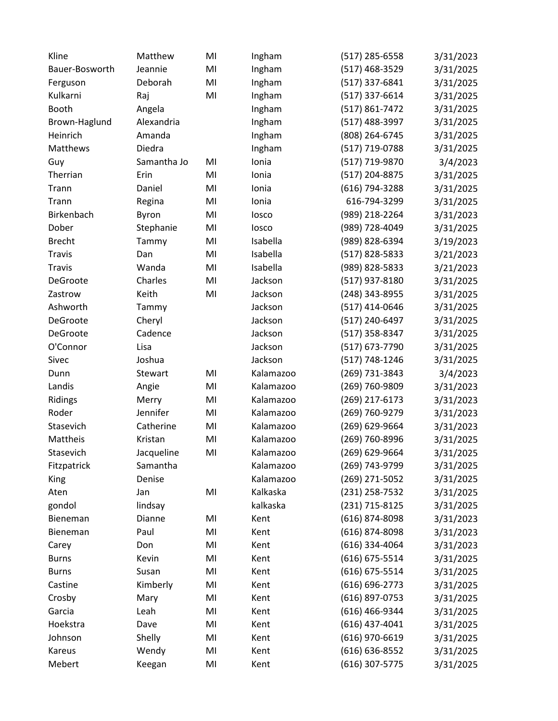| Kline          | Matthew     | MI | Ingham    | (517) 285-6558   | 3/31/2023 |
|----------------|-------------|----|-----------|------------------|-----------|
| Bauer-Bosworth | Jeannie     | MI | Ingham    | (517) 468-3529   | 3/31/2025 |
| Ferguson       | Deborah     | MI | Ingham    | (517) 337-6841   | 3/31/2025 |
| Kulkarni       | Raj         | MI | Ingham    | (517) 337-6614   | 3/31/2025 |
| Booth          | Angela      |    | Ingham    | (517) 861-7472   | 3/31/2025 |
| Brown-Haglund  | Alexandria  |    | Ingham    | (517) 488-3997   | 3/31/2025 |
| Heinrich       | Amanda      |    | Ingham    | (808) 264-6745   | 3/31/2025 |
| Matthews       | Diedra      |    | Ingham    | (517) 719-0788   | 3/31/2025 |
| Guy            | Samantha Jo | MI | Ionia     | (517) 719-9870   | 3/4/2023  |
| Therrian       | Erin        | MI | Ionia     | (517) 204-8875   | 3/31/2025 |
| Trann          | Daniel      | MI | Ionia     | (616) 794-3288   | 3/31/2025 |
| Trann          | Regina      | MI | Ionia     | 616-794-3299     | 3/31/2025 |
| Birkenbach     | Byron       | MI | losco     | (989) 218-2264   | 3/31/2023 |
| Dober          | Stephanie   | MI | losco     | (989) 728-4049   | 3/31/2025 |
| <b>Brecht</b>  | Tammy       | MI | Isabella  | (989) 828-6394   | 3/19/2023 |
| <b>Travis</b>  | Dan         | MI | Isabella  | (517) 828-5833   | 3/21/2023 |
| <b>Travis</b>  | Wanda       | MI | Isabella  | (989) 828-5833   | 3/21/2023 |
| DeGroote       | Charles     | MI | Jackson   | (517) 937-8180   | 3/31/2025 |
| Zastrow        | Keith       | MI | Jackson   | (248) 343-8955   | 3/31/2025 |
| Ashworth       | Tammy       |    | Jackson   | (517) 414-0646   | 3/31/2025 |
| DeGroote       | Cheryl      |    | Jackson   | (517) 240-6497   | 3/31/2025 |
| DeGroote       | Cadence     |    | Jackson   | (517) 358-8347   | 3/31/2025 |
| O'Connor       | Lisa        |    | Jackson   | (517) 673-7790   | 3/31/2025 |
| Sivec          | Joshua      |    | Jackson   | (517) 748-1246   | 3/31/2025 |
| Dunn           | Stewart     | MI | Kalamazoo | (269) 731-3843   | 3/4/2023  |
| Landis         | Angie       | MI | Kalamazoo | (269) 760-9809   | 3/31/2023 |
| Ridings        | Merry       | MI | Kalamazoo | (269) 217-6173   | 3/31/2023 |
| Roder          | Jennifer    | MI | Kalamazoo | (269) 760-9279   | 3/31/2023 |
| Stasevich      | Catherine   | MI | Kalamazoo | (269) 629-9664   | 3/31/2023 |
| Mattheis       | Kristan     | MI | Kalamazoo | (269) 760-8996   | 3/31/2025 |
| Stasevich      | Jacqueline  | MI | Kalamazoo | (269) 629-9664   | 3/31/2025 |
| Fitzpatrick    | Samantha    |    | Kalamazoo | (269) 743-9799   | 3/31/2025 |
| <b>King</b>    | Denise      |    | Kalamazoo | (269) 271-5052   | 3/31/2025 |
| Aten           | Jan         | MI | Kalkaska  | (231) 258-7532   | 3/31/2025 |
| gondol         | lindsay     |    | kalkaska  | (231) 715-8125   | 3/31/2025 |
| Bieneman       | Dianne      | MI | Kent      | (616) 874-8098   | 3/31/2023 |
| Bieneman       | Paul        | MI | Kent      | (616) 874-8098   | 3/31/2023 |
| Carey          | Don         | MI | Kent      | (616) 334-4064   | 3/31/2023 |
| <b>Burns</b>   | Kevin       | MI | Kent      | (616) 675-5514   | 3/31/2025 |
| <b>Burns</b>   | Susan       | MI | Kent      | (616) 675-5514   | 3/31/2025 |
| Castine        | Kimberly    | MI | Kent      | (616) 696-2773   | 3/31/2025 |
| Crosby         | Mary        | MI | Kent      | (616) 897-0753   | 3/31/2025 |
| Garcia         | Leah        | MI | Kent      | (616) 466-9344   | 3/31/2025 |
| Hoekstra       | Dave        | MI | Kent      | $(616)$ 437-4041 | 3/31/2025 |
| Johnson        | Shelly      | MI | Kent      | (616) 970-6619   | 3/31/2025 |
| Kareus         | Wendy       | MI | Kent      | (616) 636-8552   | 3/31/2025 |
| Mebert         | Keegan      | MI | Kent      | (616) 307-5775   | 3/31/2025 |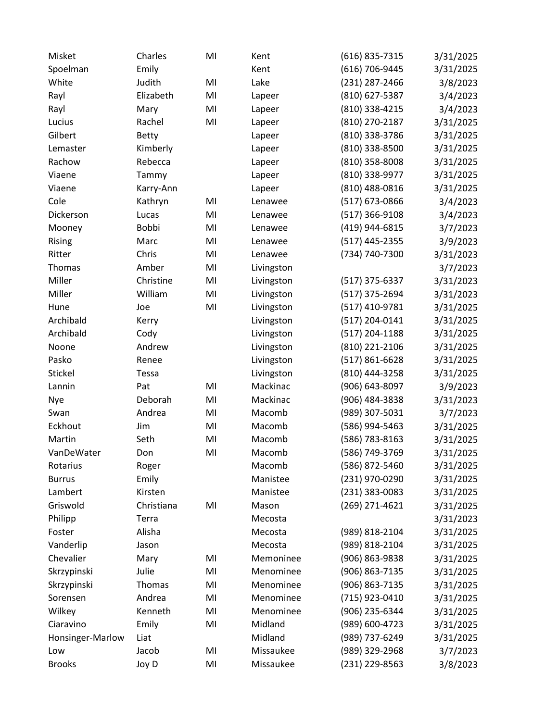| Misket           | Charles      | MI | Kent       | (616) 835-7315 | 3/31/2025 |
|------------------|--------------|----|------------|----------------|-----------|
| Spoelman         | Emily        |    | Kent       | (616) 706-9445 | 3/31/2025 |
| White            | Judith       | MI | Lake       | (231) 287-2466 | 3/8/2023  |
| Rayl             | Elizabeth    | MI | Lapeer     | (810) 627-5387 | 3/4/2023  |
| Rayl             | Mary         | MI | Lapeer     | (810) 338-4215 | 3/4/2023  |
| Lucius           | Rachel       | MI | Lapeer     | (810) 270-2187 | 3/31/2025 |
| Gilbert          | <b>Betty</b> |    | Lapeer     | (810) 338-3786 | 3/31/2025 |
| Lemaster         | Kimberly     |    | Lapeer     | (810) 338-8500 | 3/31/2025 |
| Rachow           | Rebecca      |    | Lapeer     | (810) 358-8008 | 3/31/2025 |
| Viaene           | Tammy        |    | Lapeer     | (810) 338-9977 | 3/31/2025 |
| Viaene           | Karry-Ann    |    | Lapeer     | (810) 488-0816 | 3/31/2025 |
| Cole             | Kathryn      | MI | Lenawee    | (517) 673-0866 | 3/4/2023  |
| Dickerson        | Lucas        | MI | Lenawee    | (517) 366-9108 | 3/4/2023  |
| Mooney           | Bobbi        | MI | Lenawee    | (419) 944-6815 | 3/7/2023  |
| Rising           | Marc         | MI | Lenawee    | (517) 445-2355 | 3/9/2023  |
| Ritter           | Chris        | MI | Lenawee    | (734) 740-7300 | 3/31/2023 |
| Thomas           | Amber        | MI | Livingston |                | 3/7/2023  |
| Miller           | Christine    | MI | Livingston | (517) 375-6337 | 3/31/2023 |
| Miller           | William      | MI | Livingston | (517) 375-2694 | 3/31/2023 |
| Hune             | Joe          | MI | Livingston | (517) 410-9781 | 3/31/2025 |
| Archibald        | Kerry        |    | Livingston | (517) 204-0141 | 3/31/2025 |
| Archibald        | Cody         |    | Livingston | (517) 204-1188 | 3/31/2025 |
| Noone            | Andrew       |    | Livingston | (810) 221-2106 | 3/31/2025 |
| Pasko            | Renee        |    | Livingston | (517) 861-6628 | 3/31/2025 |
| Stickel          | Tessa        |    | Livingston | (810) 444-3258 | 3/31/2025 |
| Lannin           | Pat          | MI | Mackinac   | (906) 643-8097 | 3/9/2023  |
| Nye              | Deborah      | MI | Mackinac   | (906) 484-3838 | 3/31/2023 |
| Swan             | Andrea       | MI | Macomb     | (989) 307-5031 | 3/7/2023  |
| Eckhout          | Jim          | MI | Macomb     | (586) 994-5463 | 3/31/2025 |
| Martin           | Seth         | MI | Macomb     | (586) 783-8163 | 3/31/2025 |
| VanDeWater       | Don          | MI | Macomb     | (586) 749-3769 | 3/31/2025 |
| Rotarius         | Roger        |    | Macomb     | (586) 872-5460 | 3/31/2025 |
| <b>Burrus</b>    | Emily        |    | Manistee   | (231) 970-0290 | 3/31/2025 |
| Lambert          | Kirsten      |    | Manistee   | (231) 383-0083 | 3/31/2025 |
| Griswold         | Christiana   | MI | Mason      | (269) 271-4621 | 3/31/2025 |
| Philipp          | Terra        |    | Mecosta    |                | 3/31/2023 |
| Foster           | Alisha       |    | Mecosta    | (989) 818-2104 | 3/31/2025 |
| Vanderlip        | Jason        |    | Mecosta    | (989) 818-2104 | 3/31/2025 |
| Chevalier        | Mary         | MI | Memoninee  | (906) 863-9838 | 3/31/2025 |
| Skrzypinski      | Julie        | MI | Menominee  | (906) 863-7135 | 3/31/2025 |
| Skrzypinski      | Thomas       | MI | Menominee  | (906) 863-7135 | 3/31/2025 |
| Sorensen         | Andrea       | MI | Menominee  | (715) 923-0410 | 3/31/2025 |
| Wilkey           | Kenneth      | MI | Menominee  | (906) 235-6344 | 3/31/2025 |
| Ciaravino        | Emily        | MI | Midland    | (989) 600-4723 | 3/31/2025 |
| Honsinger-Marlow | Liat         |    | Midland    | (989) 737-6249 | 3/31/2025 |
| Low              | Jacob        | MI | Missaukee  | (989) 329-2968 | 3/7/2023  |
| <b>Brooks</b>    | Joy D        | MI | Missaukee  | (231) 229-8563 | 3/8/2023  |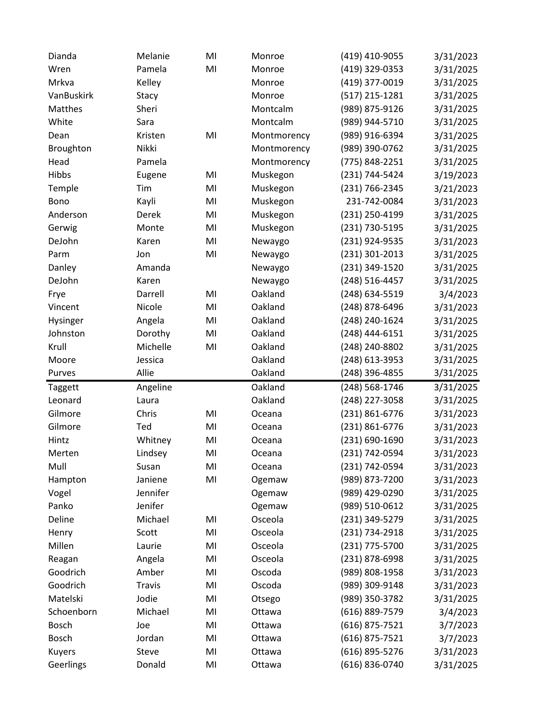| Dianda       | Melanie       | MI | Monroe      | (419) 410-9055 | 3/31/2023             |
|--------------|---------------|----|-------------|----------------|-----------------------|
| Wren         | Pamela        | MI | Monroe      | (419) 329-0353 | 3/31/2025             |
| Mrkva        | Kelley        |    | Monroe      | (419) 377-0019 | 3/31/2025             |
| VanBuskirk   | Stacy         |    | Monroe      | (517) 215-1281 | 3/31/2025             |
| Matthes      | Sheri         |    | Montcalm    | (989) 875-9126 | 3/31/2025             |
| White        | Sara          |    | Montcalm    | (989) 944-5710 | 3/31/2025             |
| Dean         | Kristen       | MI | Montmorency | (989) 916-6394 | 3/31/2025             |
| Broughton    | Nikki         |    | Montmorency | (989) 390-0762 | 3/31/2025             |
| Head         | Pamela        |    | Montmorency | (775) 848-2251 | 3/31/2025             |
| Hibbs        | Eugene        | MI | Muskegon    | (231) 744-5424 | 3/19/2023             |
| Temple       | Tim           | MI | Muskegon    | (231) 766-2345 | 3/21/2023             |
| Bono         | Kayli         | MI | Muskegon    | 231-742-0084   | 3/31/2023             |
| Anderson     | Derek         | MI | Muskegon    | (231) 250-4199 | 3/31/2025             |
| Gerwig       | Monte         | MI | Muskegon    | (231) 730-5195 | 3/31/2025             |
| DeJohn       | Karen         | MI | Newaygo     | (231) 924-9535 | 3/31/2023             |
| Parm         | Jon           | MI | Newaygo     | (231) 301-2013 | 3/31/2025             |
| Danley       | Amanda        |    | Newaygo     | (231) 349-1520 | 3/31/2025             |
| DeJohn       | Karen         |    | Newaygo     | (248) 516-4457 | 3/31/2025             |
| Frye         | Darrell       | MI | Oakland     | (248) 634-5519 | 3/4/2023              |
| Vincent      | Nicole        | MI | Oakland     | (248) 878-6496 | 3/31/2023             |
| Hysinger     | Angela        | MI | Oakland     | (248) 240-1624 | 3/31/2025             |
| Johnston     | Dorothy       | MI | Oakland     | (248) 444-6151 | 3/31/2025             |
| Krull        | Michelle      | MI | Oakland     | (248) 240-8802 | 3/31/2025             |
| Moore        | Jessica       |    | Oakland     | (248) 613-3953 | 3/31/2025             |
| Purves       | Allie         |    | Oakland     | (248) 396-4855 | 3/31/2025             |
| Taggett      | Angeline      |    | Oakland     | (248) 568-1746 | 3/31/2025             |
| Leonard      | Laura         |    | Oakland     | (248) 227-3058 | 3/31/2025             |
| Gilmore      | Chris         | MI | Oceana      | (231) 861-6776 | 3/31/2023             |
| Gilmore      | Ted           | MI | Oceana      | (231) 861-6776 | 3/31/2023             |
| Hintz        | Whitney       | MI | Oceana      | (231) 690-1690 | 3/31/2023             |
| Merten       | Lindsey       | MI | Oceana      | (231) 742-0594 | 3/31/2023             |
| Mull         | Susan         | MI | Oceana      | (231) 742-0594 | 3/31/2023             |
| Hampton      | Janiene       | MI | Ogemaw      | (989) 873-7200 | 3/31/2023             |
| Vogel        | Jennifer      |    | Ogemaw      | (989) 429-0290 | 3/31/2025             |
| Panko        | Jenifer       |    | Ogemaw      | (989) 510-0612 | 3/31/2025             |
| Deline       | Michael       | MI | Osceola     | (231) 349-5279 | 3/31/2025             |
| Henry        | Scott         | MI | Osceola     | (231) 734-2918 | 3/31/2025             |
| Millen       | Laurie        | MI | Osceola     | (231) 775-5700 | 3/31/2025             |
| Reagan       | Angela        | MI | Osceola     | (231) 878-6998 | 3/31/2025             |
| Goodrich     | Amber         | MI | Oscoda      | (989) 808-1958 | 3/31/2023             |
| Goodrich     | <b>Travis</b> | MI | Oscoda      | (989) 309-9148 | 3/31/2023             |
| Matelski     | Jodie         | MI | Otsego      | (989) 350-3782 | 3/31/2025             |
| Schoenborn   | Michael       | MI | Ottawa      | (616) 889-7579 | 3/4/2023              |
|              |               |    |             |                |                       |
| Bosch        | Joe           | MI | Ottawa      | (616) 875-7521 |                       |
| <b>Bosch</b> | Jordan        | MI | Ottawa      | (616) 875-7521 | 3/7/2023              |
| Kuyers       | Steve         | MI | Ottawa      | (616) 895-5276 | 3/7/2023<br>3/31/2023 |
| Geerlings    | Donald        | MI | Ottawa      | (616) 836-0740 | 3/31/2025             |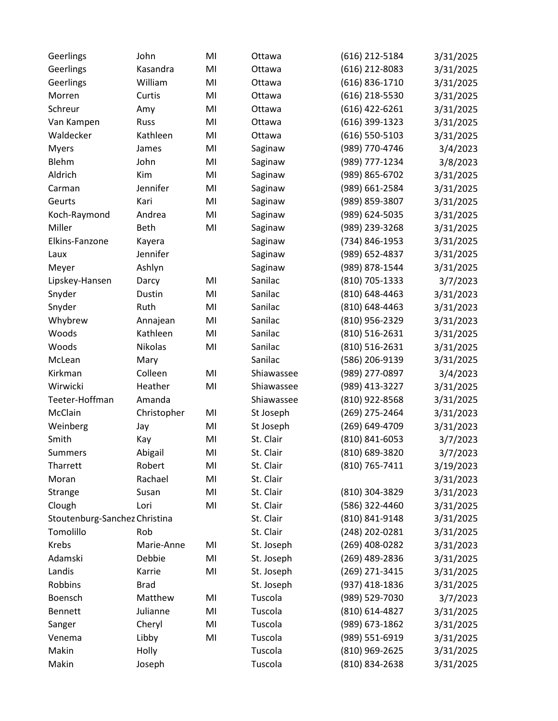| Geerlings                     | John        | MI | Ottawa     | (616) 212-5184     | 3/31/2025 |
|-------------------------------|-------------|----|------------|--------------------|-----------|
| Geerlings                     | Kasandra    | MI | Ottawa     | (616) 212-8083     | 3/31/2025 |
| Geerlings                     | William     | MI | Ottawa     | (616) 836-1710     | 3/31/2025 |
| Morren                        | Curtis      | MI | Ottawa     | (616) 218-5530     | 3/31/2025 |
| Schreur                       | Amy         | MI | Ottawa     | $(616)$ 422-6261   | 3/31/2025 |
| Van Kampen                    | Russ        | MI | Ottawa     | (616) 399-1323     | 3/31/2025 |
| Waldecker                     | Kathleen    | MI | Ottawa     | $(616) 550 - 5103$ | 3/31/2025 |
| <b>Myers</b>                  | James       | MI | Saginaw    | (989) 770-4746     | 3/4/2023  |
| Blehm                         | John        | MI | Saginaw    | (989) 777-1234     | 3/8/2023  |
| Aldrich                       | Kim         | MI | Saginaw    | (989) 865-6702     | 3/31/2025 |
| Carman                        | Jennifer    | MI | Saginaw    | (989) 661-2584     | 3/31/2025 |
| Geurts                        | Kari        | MI | Saginaw    | (989) 859-3807     | 3/31/2025 |
| Koch-Raymond                  | Andrea      | MI | Saginaw    | (989) 624-5035     | 3/31/2025 |
| Miller                        | Beth        | MI | Saginaw    | (989) 239-3268     | 3/31/2025 |
| Elkins-Fanzone                | Kayera      |    | Saginaw    | (734) 846-1953     | 3/31/2025 |
| Laux                          | Jennifer    |    | Saginaw    | (989) 652-4837     | 3/31/2025 |
| Meyer                         | Ashlyn      |    | Saginaw    | (989) 878-1544     | 3/31/2025 |
| Lipskey-Hansen                | Darcy       | MI | Sanilac    | (810) 705-1333     | 3/7/2023  |
| Snyder                        | Dustin      | MI | Sanilac    | (810) 648-4463     | 3/31/2023 |
| Snyder                        | Ruth        | MI | Sanilac    | (810) 648-4463     | 3/31/2023 |
| Whybrew                       | Annajean    | MI | Sanilac    | (810) 956-2329     | 3/31/2023 |
| Woods                         | Kathleen    | MI | Sanilac    | (810) 516-2631     | 3/31/2025 |
| Woods                         | Nikolas     | MI | Sanilac    | (810) 516-2631     | 3/31/2025 |
| McLean                        | Mary        |    | Sanilac    | (586) 206-9139     | 3/31/2025 |
| Kirkman                       | Colleen     | MI | Shiawassee | (989) 277-0897     | 3/4/2023  |
| Wirwicki                      | Heather     | MI | Shiawassee | (989) 413-3227     | 3/31/2025 |
| Teeter-Hoffman                | Amanda      |    | Shiawassee | (810) 922-8568     | 3/31/2025 |
| McClain                       | Christopher | MI | St Joseph  | (269) 275-2464     | 3/31/2023 |
| Weinberg                      | Jay         | MI | St Joseph  | (269) 649-4709     | 3/31/2023 |
| Smith                         | Kay         | MI | St. Clair  | (810) 841-6053     | 3/7/2023  |
| Summers                       | Abigail     | MI | St. Clair  | (810) 689-3820     | 3/7/2023  |
| Tharrett                      | Robert      | MI | St. Clair  | (810) 765-7411     | 3/19/2023 |
| Moran                         | Rachael     | MI | St. Clair  |                    | 3/31/2023 |
| Strange                       | Susan       | MI | St. Clair  | (810) 304-3829     | 3/31/2023 |
| Clough                        | Lori        | MI | St. Clair  | (586) 322-4460     | 3/31/2025 |
| Stoutenburg-Sanchez Christina |             |    | St. Clair  | (810) 841-9148     | 3/31/2025 |
| Tomolillo                     | Rob         |    | St. Clair  | (248) 202-0281     | 3/31/2025 |
| <b>Krebs</b>                  | Marie-Anne  | MI | St. Joseph | (269) 408-0282     | 3/31/2023 |
| Adamski                       | Debbie      | MI | St. Joseph | (269) 489-2836     | 3/31/2025 |
| Landis                        | Karrie      | MI | St. Joseph | (269) 271-3415     | 3/31/2025 |
| Robbins                       | <b>Brad</b> |    | St. Joseph | (937) 418-1836     | 3/31/2025 |
| Boensch                       | Matthew     | MI | Tuscola    | (989) 529-7030     | 3/7/2023  |
| <b>Bennett</b>                | Julianne    | MI | Tuscola    | (810) 614-4827     | 3/31/2025 |
| Sanger                        | Cheryl      | MI | Tuscola    | (989) 673-1862     | 3/31/2025 |
| Venema                        | Libby       | MI | Tuscola    | (989) 551-6919     | 3/31/2025 |
| Makin                         | Holly       |    | Tuscola    | (810) 969-2625     | 3/31/2025 |
| Makin                         | Joseph      |    | Tuscola    | (810) 834-2638     | 3/31/2025 |